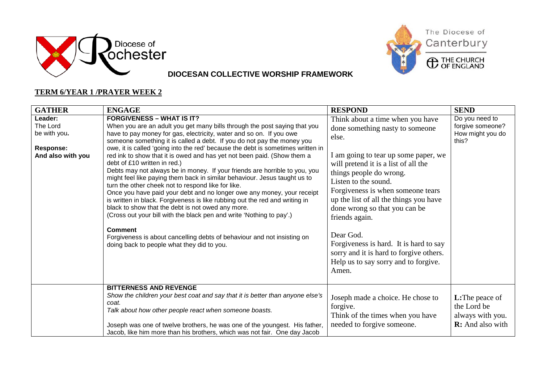



The Diocese of Canterbury



**DIOCESAN COLLECTIVE WORSHIP FRAMEWORK**

#### **TERM 6/YEAR 1 /PRAYER WEEK 2**

| <b>GATHER</b>                                                                | <b>ENGAGE</b>                                                                                                                                                                                                                                                                                                                                                                                                                                                                                                                                                                                                                                                                                                                                                                                                                                                                                                                                                                                                                                                                                                  | <b>RESPOND</b>                                                                                                                                                                                                                                                                                                                                                                                                                                                                                       | <b>SEND</b>                                                                          |
|------------------------------------------------------------------------------|----------------------------------------------------------------------------------------------------------------------------------------------------------------------------------------------------------------------------------------------------------------------------------------------------------------------------------------------------------------------------------------------------------------------------------------------------------------------------------------------------------------------------------------------------------------------------------------------------------------------------------------------------------------------------------------------------------------------------------------------------------------------------------------------------------------------------------------------------------------------------------------------------------------------------------------------------------------------------------------------------------------------------------------------------------------------------------------------------------------|------------------------------------------------------------------------------------------------------------------------------------------------------------------------------------------------------------------------------------------------------------------------------------------------------------------------------------------------------------------------------------------------------------------------------------------------------------------------------------------------------|--------------------------------------------------------------------------------------|
| Leader:<br>The Lord<br>be with you.<br><b>Response:</b><br>And also with you | <b>FORGIVENESS - WHAT IS IT?</b><br>When you are an adult you get many bills through the post saying that you<br>have to pay money for gas, electricity, water and so on. If you owe<br>someone something it is called a debt. If you do not pay the money you<br>owe, it is called 'going into the red' because the debt is sometimes written in<br>red ink to show that it is owed and has yet not been paid. (Show them a<br>debt of £10 written in red.)<br>Debts may not always be in money. If your friends are horrible to you, you<br>might feel like paying them back in similar behaviour. Jesus taught us to<br>turn the other cheek not to respond like for like.<br>Once you have paid your debt and no longer owe any money, your receipt<br>is written in black. Forgiveness is like rubbing out the red and writing in<br>black to show that the debt is not owed any more.<br>(Cross out your bill with the black pen and write 'Nothing to pay'.)<br><b>Comment</b><br>Forgiveness is about cancelling debts of behaviour and not insisting on<br>doing back to people what they did to you. | Think about a time when you have<br>done something nasty to someone<br>else.<br>I am going to tear up some paper, we<br>will pretend it is a list of all the<br>things people do wrong.<br>Listen to the sound.<br>Forgiveness is when someone tears<br>up the list of all the things you have<br>done wrong so that you can be<br>friends again.<br>Dear God.<br>Forgiveness is hard. It is hard to say<br>sorry and it is hard to forgive others.<br>Help us to say sorry and to forgive.<br>Amen. | Do you need to<br>forgive someone?<br>How might you do<br>this?                      |
|                                                                              | <b>BITTERNESS AND REVENGE</b><br>Show the children your best coat and say that it is better than anyone else's<br>coat.<br>Talk about how other people react when someone boasts.<br>Joseph was one of twelve brothers, he was one of the youngest. His father,<br>Jacob, like him more than his brothers, which was not fair. One day Jacob                                                                                                                                                                                                                                                                                                                                                                                                                                                                                                                                                                                                                                                                                                                                                                   | Joseph made a choice. He chose to<br>forgive.<br>Think of the times when you have<br>needed to forgive someone.                                                                                                                                                                                                                                                                                                                                                                                      | <b>L:</b> The peace of<br>the Lord be<br>always with you.<br><b>R:</b> And also with |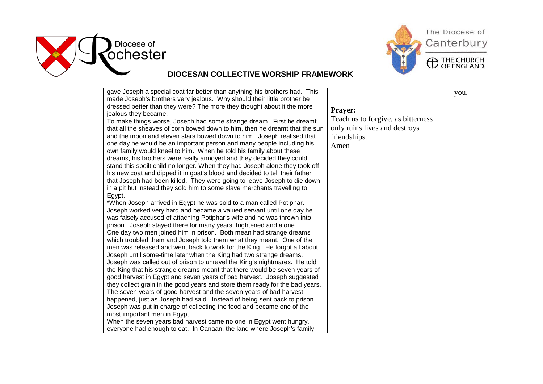



| gave Joseph a special coat far better than anything his brothers had. This   |                                    | you. |
|------------------------------------------------------------------------------|------------------------------------|------|
| made Joseph's brothers very jealous. Why should their little brother be      |                                    |      |
| dressed better than they were? The more they thought about it the more       |                                    |      |
| jealous they became.                                                         | <b>Prayer:</b>                     |      |
| To make things worse, Joseph had some strange dream. First he dreamt         | Teach us to forgive, as bitterness |      |
| that all the sheaves of corn bowed down to him, then he dreamt that the sun  | only ruins lives and destroys      |      |
| and the moon and eleven stars bowed down to him. Joseph realised that        | friendships.                       |      |
| one day he would be an important person and many people including his        | Amen                               |      |
| own family would kneel to him. When he told his family about these           |                                    |      |
| dreams, his brothers were really annoyed and they decided they could         |                                    |      |
| stand this spoilt child no longer. When they had Joseph alone they took off  |                                    |      |
| his new coat and dipped it in goat's blood and decided to tell their father  |                                    |      |
| that Joseph had been killed. They were going to leave Joseph to die down     |                                    |      |
| in a pit but instead they sold him to some slave merchants travelling to     |                                    |      |
| Egypt.                                                                       |                                    |      |
| *When Joseph arrived in Egypt he was sold to a man called Potiphar.          |                                    |      |
| Joseph worked very hard and became a valued servant until one day he         |                                    |      |
| was falsely accused of attaching Potiphar's wife and he was thrown into      |                                    |      |
| prison. Joseph stayed there for many years, frightened and alone.            |                                    |      |
| One day two men joined him in prison. Both mean had strange dreams           |                                    |      |
| which troubled them and Joseph told them what they meant. One of the         |                                    |      |
| men was released and went back to work for the King. He forgot all about     |                                    |      |
| Joseph until some-time later when the King had two strange dreams.           |                                    |      |
| Joseph was called out of prison to unravel the King's nightmares. He told    |                                    |      |
| the King that his strange dreams meant that there would be seven years of    |                                    |      |
| good harvest in Egypt and seven years of bad harvest. Joseph suggested       |                                    |      |
| they collect grain in the good years and store them ready for the bad years. |                                    |      |
| The seven years of good harvest and the seven years of bad harvest           |                                    |      |
| happened, just as Joseph had said. Instead of being sent back to prison      |                                    |      |
| Joseph was put in charge of collecting the food and became one of the        |                                    |      |
| most important men in Egypt.                                                 |                                    |      |
| When the seven years bad harvest came no one in Egypt went hungry,           |                                    |      |
| everyone had enough to eat. In Canaan, the land where Joseph's family        |                                    |      |

Canterbury **C** THE CHURCH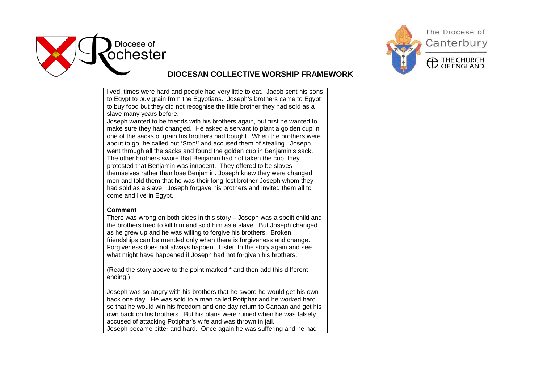



| lived, times were hard and people had very little to eat. Jacob sent his sons<br>to Egypt to buy grain from the Egyptians. Joseph's brothers came to Egypt |  |
|------------------------------------------------------------------------------------------------------------------------------------------------------------|--|
| to buy food but they did not recognise the little brother they had sold as a                                                                               |  |
| slave many years before.                                                                                                                                   |  |
| Joseph wanted to be friends with his brothers again, but first he wanted to                                                                                |  |
| make sure they had changed. He asked a servant to plant a golden cup in<br>one of the sacks of grain his brothers had bought. When the brothers were       |  |
| about to go, he called out 'Stop!' and accused them of stealing. Joseph                                                                                    |  |
| went through all the sacks and found the golden cup in Benjamin's sack.                                                                                    |  |
| The other brothers swore that Benjamin had not taken the cup, they                                                                                         |  |
| protested that Benjamin was innocent. They offered to be slaves                                                                                            |  |
| themselves rather than lose Benjamin. Joseph knew they were changed                                                                                        |  |
| men and told them that he was their long-lost brother Joseph whom they<br>had sold as a slave. Joseph forgave his brothers and invited them all to         |  |
| come and live in Egypt.                                                                                                                                    |  |
|                                                                                                                                                            |  |
| <b>Comment</b>                                                                                                                                             |  |
| There was wrong on both sides in this story - Joseph was a spoilt child and                                                                                |  |
| the brothers tried to kill him and sold him as a slave. But Joseph changed<br>as he grew up and he was willing to forgive his brothers. Broken             |  |
| friendships can be mended only when there is forgiveness and change.                                                                                       |  |
| Forgiveness does not always happen. Listen to the story again and see                                                                                      |  |
| what might have happened if Joseph had not forgiven his brothers.                                                                                          |  |
|                                                                                                                                                            |  |
| (Read the story above to the point marked * and then add this different<br>ending.)                                                                        |  |
|                                                                                                                                                            |  |
| Joseph was so angry with his brothers that he swore he would get his own                                                                                   |  |
| back one day. He was sold to a man called Potiphar and he worked hard                                                                                      |  |
| so that he would win his freedom and one day return to Canaan and get his                                                                                  |  |
| own back on his brothers. But his plans were ruined when he was falsely<br>accused of attacking Potiphar's wife and was thrown in jail.                    |  |
| Joseph became bitter and hard. Once again he was suffering and he had                                                                                      |  |
|                                                                                                                                                            |  |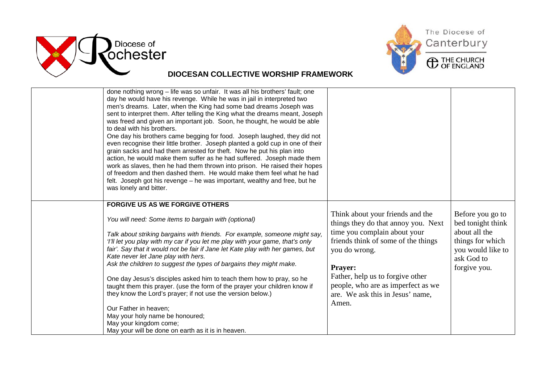



| done nothing wrong - life was so unfair. It was all his brothers' fault; one<br>day he would have his revenge. While he was in jail in interpreted two<br>men's dreams. Later, when the King had some bad dreams Joseph was<br>sent to interpret them. After telling the King what the dreams meant, Joseph<br>was freed and given an important job. Soon, he thought, he would be able<br>to deal with his brothers.<br>One day his brothers came begging for food. Joseph laughed, they did not<br>even recognise their little brother. Joseph planted a gold cup in one of their<br>grain sacks and had them arrested for theft. Now he put his plan into<br>action, he would make them suffer as he had suffered. Joseph made them<br>work as slaves, then he had them thrown into prison. He raised their hopes<br>of freedom and then dashed them. He would make them feel what he had<br>felt. Joseph got his revenge – he was important, wealthy and free, but he<br>was lonely and bitter.<br><b>FORGIVE US AS WE FORGIVE OTHERS</b> |                                                                                                                                                                                                                                                                                                   |                                                                                                                               |
|-----------------------------------------------------------------------------------------------------------------------------------------------------------------------------------------------------------------------------------------------------------------------------------------------------------------------------------------------------------------------------------------------------------------------------------------------------------------------------------------------------------------------------------------------------------------------------------------------------------------------------------------------------------------------------------------------------------------------------------------------------------------------------------------------------------------------------------------------------------------------------------------------------------------------------------------------------------------------------------------------------------------------------------------------|---------------------------------------------------------------------------------------------------------------------------------------------------------------------------------------------------------------------------------------------------------------------------------------------------|-------------------------------------------------------------------------------------------------------------------------------|
| You will need: Some items to bargain with (optional)<br>Talk about striking bargains with friends. For example, someone might say,<br>'I'll let you play with my car if you let me play with your game, that's only<br>fair'. Say that it would not be fair if Jane let Kate play with her games, but<br>Kate never let Jane play with hers.<br>Ask the children to suggest the types of bargains they might make.<br>One day Jesus's disciples asked him to teach them how to pray, so he<br>taught them this prayer. (use the form of the prayer your children know if<br>they know the Lord's prayer; if not use the version below.)<br>Our Father in heaven;<br>May your holy name be honoured;<br>May your kingdom come;<br>May your will be done on earth as it is in heaven.                                                                                                                                                                                                                                                           | Think about your friends and the<br>things they do that annoy you. Next<br>time you complain about your<br>friends think of some of the things<br>you do wrong.<br>Prayer:<br>Father, help us to forgive other<br>people, who are as imperfect as we<br>are. We ask this in Jesus' name,<br>Amen. | Before you go to<br>bed tonight think<br>about all the<br>things for which<br>you would like to<br>ask God to<br>forgive you. |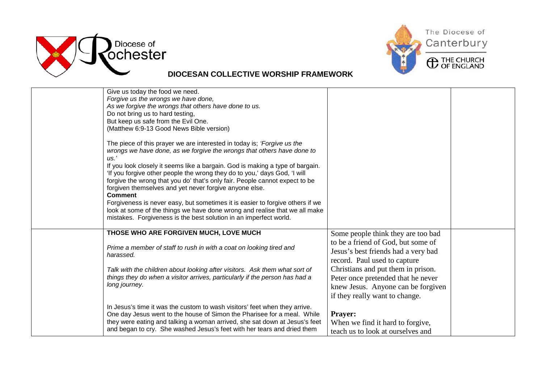



| Give us today the food we need.                                               |                                     |  |
|-------------------------------------------------------------------------------|-------------------------------------|--|
| Forgive us the wrongs we have done,                                           |                                     |  |
| As we forgive the wrongs that others have done to us.                         |                                     |  |
| Do not bring us to hard testing,<br>But keep us safe from the Evil One.       |                                     |  |
| (Matthew 6:9-13 Good News Bible version)                                      |                                     |  |
|                                                                               |                                     |  |
| The piece of this prayer we are interested in today is; 'Forgive us the       |                                     |  |
| wrongs we have done, as we forgive the wrongs that others have done to        |                                     |  |
| $\mu$ s.'                                                                     |                                     |  |
| If you look closely it seems like a bargain. God is making a type of bargain. |                                     |  |
| 'If you forgive other people the wrong they do to you,' days God, 'I will     |                                     |  |
| forgive the wrong that you do' that's only fair. People cannot expect to be   |                                     |  |
| forgiven themselves and yet never forgive anyone else.                        |                                     |  |
| <b>Comment</b>                                                                |                                     |  |
| Forgiveness is never easy, but sometimes it is easier to forgive others if we |                                     |  |
| look at some of the things we have done wrong and realise that we all make    |                                     |  |
| mistakes. Forgiveness is the best solution in an imperfect world.             |                                     |  |
|                                                                               |                                     |  |
| THOSE WHO ARE FORGIVEN MUCH, LOVE MUCH                                        | Some people think they are too bad  |  |
|                                                                               | to be a friend of God, but some of  |  |
| Prime a member of staff to rush in with a coat on looking tired and           | Jesus's best friends had a very bad |  |
| harassed.                                                                     | record. Paul used to capture        |  |
| Talk with the children about looking after visitors. Ask them what sort of    | Christians and put them in prison.  |  |
| things they do when a visitor arrives, particularly if the person has had a   | Peter once pretended that he never  |  |
| long journey.                                                                 |                                     |  |
|                                                                               | knew Jesus. Anyone can be forgiven  |  |
|                                                                               | if they really want to change.      |  |
| In Jesus's time it was the custom to wash visitors' feet when they arrive.    |                                     |  |
| One day Jesus went to the house of Simon the Pharisee for a meal. While       | <b>Prayer:</b>                      |  |
| they were eating and talking a woman arrived, she sat down at Jesus's feet    | When we find it hard to forgive,    |  |
| and began to cry. She washed Jesus's feet with her tears and dried them       | teach us to look at ourselves and   |  |
|                                                                               |                                     |  |